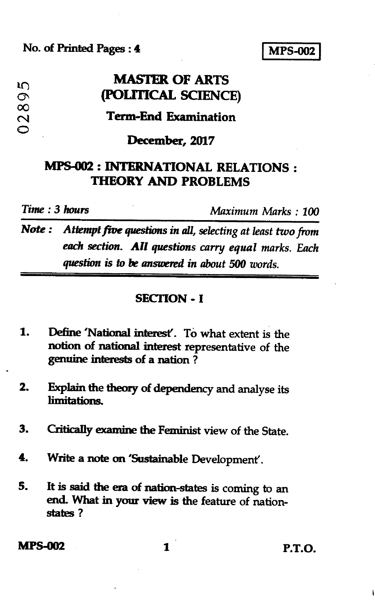**No. of Printed Pages :** *4* **I MPS-002 <sup>I</sup>**

# **MASTER OF ARTS (POLITICAL SCIENCE)**

## **Term-End Examination**

### **December, 2017**

## **MPS-002 : INTERNATIONAL RELATIONS : THEORY AND PROBLEMS**

**00** 

 $\mathfrak{m}$  $\sigma$ 

*Time : 3 hours Maximum Marks : 100* 

*Note : Attempt five questions in all, selecting at least two from each section. All questions carry equal marks. Each question is to be answered in about 500 words.* 

#### **SECTION - I**

- **1. Define 'National interest'. To what extent is the notion of national interest representative of the genuine interests of a nation ?**
- **2. Explain the theory of dependency and analyse its limitations.**
- **3. Critically examine the Feminist view of the State.**
- **4. Write a note on 'Sustainable Development'.**
- **5. It is said the era of nation-states is coming to an end. What in your view is the feature of nationstates ?**

**MPS-002 1 P.T.O.**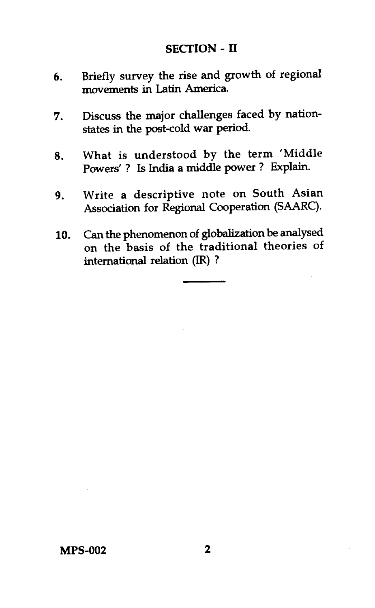## **SECTION - II**

- 6. Briefly survey the rise and growth of regional movements in Latin America.
- 7. Discuss the major challenges faced by nationstates in the post-cold war period.
- 8. What is understood by the term 'Middle Powers' ? Is India a middle power ? Explain.
- 9. Write a descriptive note on South Asian Association for Regional Cooperation (SAARC).
- 10. Can the phenomenon of globalization be analysed on the basis of the traditional theories of international relation (IR) ?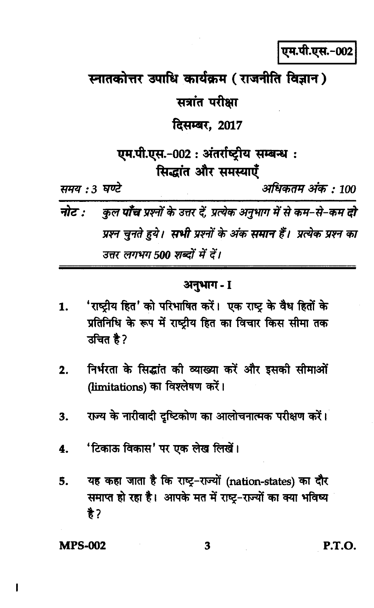एम.पी.एस.-002

स्नातकोत्तर उपाधि कार्यक्रम (राजनीति विज्ञान)

सत्रांत परीक्षा

दिसम्बर, 2017

एम.पी.एस.-002 : अंतर्राष्ट्रीय सम्बन्ध : सिद्धांत और समस्याएँ

समय : 3 घण्टे

अधिकतम अंक : 100

कुल **पाँच** प्रश्नों के उत्तर दें, प्रत्येक अनुभाग में से कम–से–कम **दो** नोट : प्रश्न चुनते हुये। सभी प्रश्नों के अंक समान हैं। प्रत्येक प्रश्न का उत्तर लगभग 500 शब्दों में दें।

## अनुभाग - I

- 'राष्ट्रीय हित' को परिभाषित करें। एक राष्ट्र के वैध हितों के 1. प्रतिनिधि के रूप में राष्ट्रीय हित का विचार किस सीमा तक उचित है?
- निर्भरता के सिद्धांत की व्याख्या करें और इसकी सीमाओं  $2.$ (limitations) का विश्लेषण करें।
- राज्य के नारीवादी दृष्टिकोण का आलोचनात्मक परीक्षण करें। 3.
- 'टिकाऊ विकास' पर एक लेख लिखें। 4.
- यह कहा जाता है कि राष्ट्र-राज्यों (nation-states) का दौर 5. समाप्त हो रहा है। आपके मत में राष्ट-राज्यों का क्या भविष्य  $\frac{1}{6}$ ?

**MPS-002** 

ı

3

P.T.O.